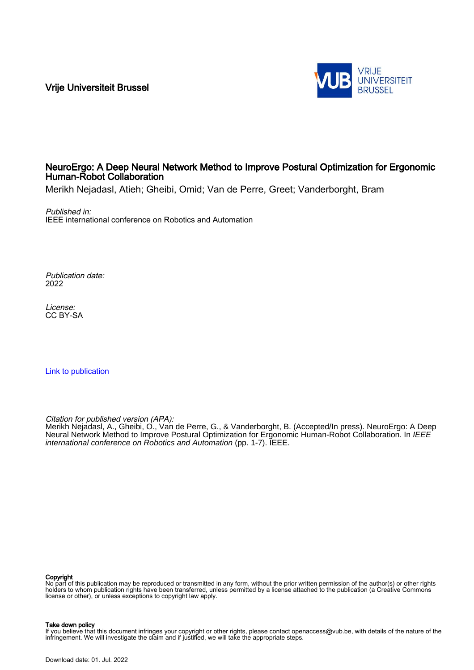Vrije Universiteit Brussel



# NeuroErgo: A Deep Neural Network Method to Improve Postural Optimization for Ergonomic Human-Robot Collaboration

Merikh Nejadasl, Atieh; Gheibi, Omid; Van de Perre, Greet; Vanderborght, Bram

Published in: IEEE international conference on Robotics and Automation

Publication date: 2022

License: CC BY-SA

[Link to publication](https://researchportal.vub.be/en/publications/d3eb4c52-a75f-4df8-803a-a72bd4542a2e)

Citation for published version (APA):

Merikh Nejadasl, A., Gheibi, O., Van de Perre, G., & Vanderborght, B. (Accepted/In press). NeuroErgo: A Deep Neural Network Method to Improve Postural Optimization for Ergonomic Human-Robot Collaboration. In IEEE international conference on Robotics and Automation (pp. 1-7). IEEE.

#### Copyright

No part of this publication may be reproduced or transmitted in any form, without the prior written permission of the author(s) or other rights holders to whom publication rights have been transferred, unless permitted by a license attached to the publication (a Creative Commons license or other), or unless exceptions to copyright law apply.

#### Take down policy

If you believe that this document infringes your copyright or other rights, please contact openaccess@vub.be, with details of the nature of the infringement. We will investigate the claim and if justified, we will take the appropriate steps.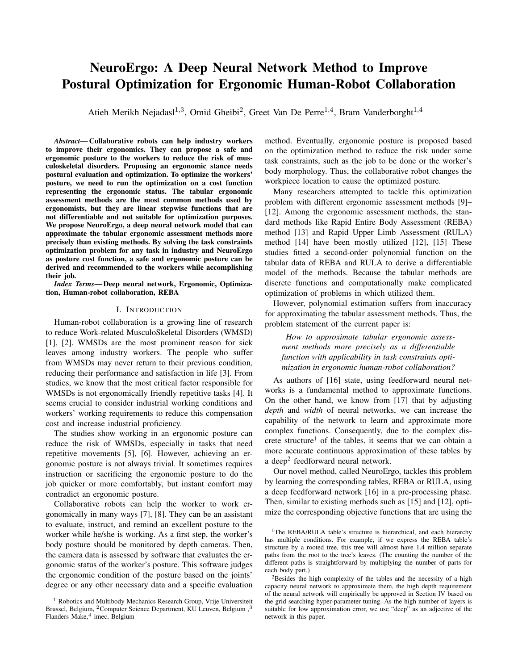# NeuroErgo: A Deep Neural Network Method to Improve Postural Optimization for Ergonomic Human-Robot Collaboration

Atieh Merikh Nejadasl<sup>1,3</sup>, Omid Gheibi<sup>2</sup>, Greet Van De Perre<sup>1,4</sup>, Bram Vanderborght<sup>1,4</sup>

*Abstract*— Collaborative robots can help industry workers to improve their ergonomics. They can propose a safe and ergonomic posture to the workers to reduce the risk of musculoskeletal disorders. Proposing an ergonomic stance needs postural evaluation and optimization. To optimize the workers' posture, we need to run the optimization on a cost function representing the ergonomic status. The tabular ergonomic assessment methods are the most common methods used by ergonomists, but they are linear stepwise functions that are not differentiable and not suitable for optimization purposes. We propose NeuroErgo, a deep neural network model that can approximate the tabular ergonomic assessment methods more precisely than existing methods. By solving the task constraints optimization problem for any task in industry and NeuroErgo as posture cost function, a safe and ergonomic posture can be derived and recommended to the workers while accomplishing their job.

*Index Terms*— Deep neural network, Ergonomic, Optimization, Human-robot collaboration, REBA

#### I. INTRODUCTION

Human-robot collaboration is a growing line of research to reduce Work-related MusculoSkeletal Disorders (WMSD) [1], [2]. WMSDs are the most prominent reason for sick leaves among industry workers. The people who suffer from WMSDs may never return to their previous condition, reducing their performance and satisfaction in life [3]. From studies, we know that the most critical factor responsible for WMSDs is not ergonomically friendly repetitive tasks [4]. It seems crucial to consider industrial working conditions and workers' working requirements to reduce this compensation cost and increase industrial proficiency.

The studies show working in an ergonomic posture can reduce the risk of WMSDs, especially in tasks that need repetitive movements [5], [6]. However, achieving an ergonomic posture is not always trivial. It sometimes requires instruction or sacrificing the ergonomic posture to do the job quicker or more comfortably, but instant comfort may contradict an ergonomic posture.

Collaborative robots can help the worker to work ergonomically in many ways [7], [8]. They can be an assistant to evaluate, instruct, and remind an excellent posture to the worker while he/she is working. As a first step, the worker's body posture should be monitored by depth cameras. Then, the camera data is assessed by software that evaluates the ergonomic status of the worker's posture. This software judges the ergonomic condition of the posture based on the joints' degree or any other necessary data and a specific evaluation

method. Eventually, ergonomic posture is proposed based on the optimization method to reduce the risk under some task constraints, such as the job to be done or the worker's body morphology. Thus, the collaborative robot changes the workpiece location to cause the optimized posture.

Many researchers attempted to tackle this optimization problem with different ergonomic assessment methods [9]– [12]. Among the ergonomic assessment methods, the standard methods like Rapid Entire Body Assessment (REBA) method [13] and Rapid Upper Limb Assessment (RULA) method [14] have been mostly utilized [12], [15] These studies fitted a second-order polynomial function on the tabular data of REBA and RULA to derive a differentiable model of the methods. Because the tabular methods are discrete functions and computationally make complicated optimization of problems in which utilized them.

However, polynomial estimation suffers from inaccuracy for approximating the tabular assessment methods. Thus, the problem statement of the current paper is:

*How to approximate tabular ergonomic assessment methods more precisely as a differentiable function with applicability in task constraints optimization in ergonomic human-robot collaboration?*

As authors of [16] state, using feedforward neural networks is a fundamental method to approximate functions. On the other hand, we know from [17] that by adjusting *depth* and *width* of neural networks, we can increase the capability of the network to learn and approximate more complex functions. Consequently, due to the complex discrete structure<sup>1</sup> of the tables, it seems that we can obtain a more accurate continuous approximation of these tables by a deep<sup>2</sup> feedforward neural network.

Our novel method, called NeuroErgo, tackles this problem by learning the corresponding tables, REBA or RULA, using a deep feedforward network [16] in a pre-processing phase. Then, similar to existing methods such as [15] and [12], optimize the corresponding objective functions that are using the

 $1$  Robotics and Multibody Mechanics Research Group, Vrije Universiteit Brussel, Belgium, <sup>2</sup>Computer Science Department, KU Leuven, Belgium, <sup>3</sup> Flanders Make,<sup>4</sup> imec, Belgium

<sup>&</sup>lt;sup>1</sup>The REBA/RULA table's structure is hierarchical, and each hierarchy has multiple conditions. For example, if we express the REBA table's structure by a rooted tree, this tree will almost have 1.4 million separate paths from the root to the tree's leaves. (The counting the number of the different paths is straightforward by multiplying the number of parts for each body part.)

<sup>&</sup>lt;sup>2</sup>Besides the high complexity of the tables and the necessity of a high capacity neural network to approximate them, the high depth requirement of the neural network will empirically be approved in Section IV based on the grid searching hyper-parameter tuning. As the high number of layers is suitable for low approximation error, we use "deep" as an adjective of the network in this paper.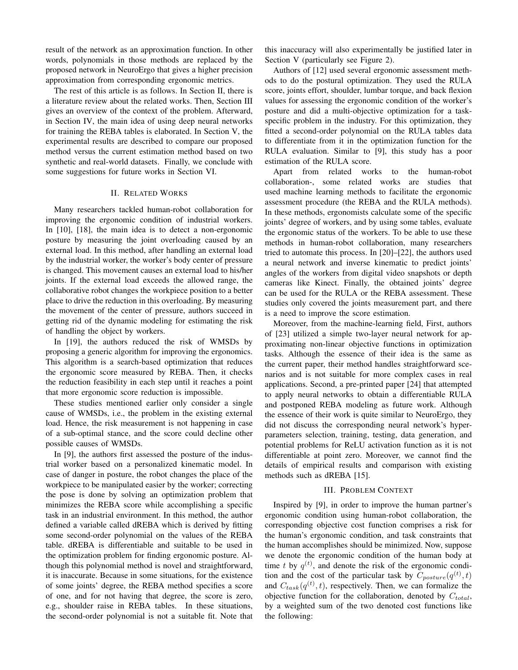result of the network as an approximation function. In other words, polynomials in those methods are replaced by the proposed network in NeuroErgo that gives a higher precision approximation from corresponding ergonomic metrics.

The rest of this article is as follows. In Section II, there is a literature review about the related works. Then, Section III gives an overview of the context of the problem. Afterward, in Section IV, the main idea of using deep neural networks for training the REBA tables is elaborated. In Section V, the experimental results are described to compare our proposed method versus the current estimation method based on two synthetic and real-world datasets. Finally, we conclude with some suggestions for future works in Section VI.

#### II. RELATED WORKS

Many researchers tackled human-robot collaboration for improving the ergonomic condition of industrial workers. In [10], [18], the main idea is to detect a non-ergonomic posture by measuring the joint overloading caused by an external load. In this method, after handling an external load by the industrial worker, the worker's body center of pressure is changed. This movement causes an external load to his/her joints. If the external load exceeds the allowed range, the collaborative robot changes the workpiece position to a better place to drive the reduction in this overloading. By measuring the movement of the center of pressure, authors succeed in getting rid of the dynamic modeling for estimating the risk of handling the object by workers.

In [19], the authors reduced the risk of WMSDs by proposing a generic algorithm for improving the ergonomics. This algorithm is a search-based optimization that reduces the ergonomic score measured by REBA. Then, it checks the reduction feasibility in each step until it reaches a point that more ergonomic score reduction is impossible.

These studies mentioned earlier only consider a single cause of WMSDs, i.e., the problem in the existing external load. Hence, the risk measurement is not happening in case of a sub-optimal stance, and the score could decline other possible causes of WMSDs.

In [9], the authors first assessed the posture of the industrial worker based on a personalized kinematic model. In case of danger in posture, the robot changes the place of the workpiece to be manipulated easier by the worker; correcting the pose is done by solving an optimization problem that minimizes the REBA score while accomplishing a specific task in an industrial environment. In this method, the author defined a variable called dREBA which is derived by fitting some second-order polynomial on the values of the REBA table. dREBA is differentiable and suitable to be used in the optimization problem for finding ergonomic posture. Although this polynomial method is novel and straightforward, it is inaccurate. Because in some situations, for the existence of some joints' degree, the REBA method specifies a score of one, and for not having that degree, the score is zero, e.g., shoulder raise in REBA tables. In these situations, the second-order polynomial is not a suitable fit. Note that this inaccuracy will also experimentally be justified later in Section V (particularly see Figure 2).

Authors of [12] used several ergonomic assessment methods to do the postural optimization. They used the RULA score, joints effort, shoulder, lumbar torque, and back flexion values for assessing the ergonomic condition of the worker's posture and did a multi-objective optimization for a taskspecific problem in the industry. For this optimization, they fitted a second-order polynomial on the RULA tables data to differentiate from it in the optimization function for the RULA evaluation. Similar to [9], this study has a poor estimation of the RULA score.

Apart from related works to the human-robot collaboration-, some related works are studies that used machine learning methods to facilitate the ergonomic assessment procedure (the REBA and the RULA methods). In these methods, ergonomists calculate some of the specific joints' degree of workers, and by using some tables, evaluate the ergonomic status of the workers. To be able to use these methods in human-robot collaboration, many researchers tried to automate this process. In [20]–[22], the authors used a neural network and inverse kinematic to predict joints' angles of the workers from digital video snapshots or depth cameras like Kinect. Finally, the obtained joints' degree can be used for the RULA or the REBA assessment. These studies only covered the joints measurement part, and there is a need to improve the score estimation.

Moreover, from the machine-learning field, First, authors of [23] utilized a simple two-layer neural network for approximating non-linear objective functions in optimization tasks. Although the essence of their idea is the same as the current paper, their method handles straightforward scenarios and is not suitable for more complex cases in real applications. Second, a pre-printed paper [24] that attempted to apply neural networks to obtain a differentiable RULA and postponed REBA modeling as future work. Although the essence of their work is quite similar to NeuroErgo, they did not discuss the corresponding neural network's hyperparameters selection, training, testing, data generation, and potential problems for ReLU activation function as it is not differentiable at point zero. Moreover, we cannot find the details of empirical results and comparison with existing methods such as dREBA [15].

#### III. PROBLEM CONTEXT

Inspired by [9], in order to improve the human partner's ergonomic condition using human-robot collaboration, the corresponding objective cost function comprises a risk for the human's ergonomic condition, and task constraints that the human accomplishes should be minimized. Now, suppose we denote the ergonomic condition of the human body at time t by  $q^{(t)}$ , and denote the risk of the ergonomic condition and the cost of the particular task by  $C_{posture}(q^{(t)}, t)$ and  $C_{task}(q^{(t)}, t)$ , respectively. Then, we can formalize the objective function for the collaboration, denoted by  $C_{total}$ , by a weighted sum of the two denoted cost functions like the following: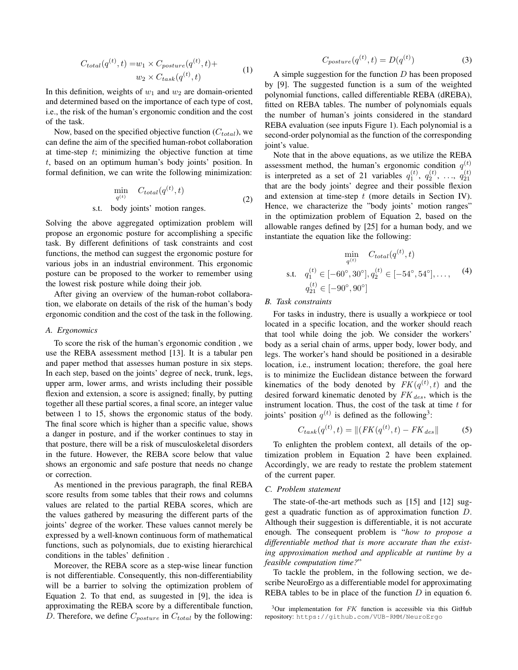$$
C_{total}(q^{(t)}, t) = w_1 \times C_{posture}(q^{(t)}, t) +
$$
  

$$
w_2 \times C_{task}(q^{(t)}, t)
$$
 (1)

In this definition, weights of  $w_1$  and  $w_2$  are domain-oriented and determined based on the importance of each type of cost, i.e., the risk of the human's ergonomic condition and the cost of the task.

Now, based on the specified objective function  $(C_{total})$ , we can define the aim of the specified human-robot collaboration at time-step  $t$ ; minimizing the objective function at time t, based on an optimum human's body joints' position. In formal definition, we can write the following minimization:

$$
\min_{q^{(t)}} C_{total}(q^{(t)}, t)
$$
\ns.t. body joints' motion ranges. (2)

Solving the above aggregated optimization problem will propose an ergonomic posture for accomplishing a specific task. By different definitions of task constraints and cost functions, the method can suggest the ergonomic posture for various jobs in an industrial environment. This ergonomic posture can be proposed to the worker to remember using the lowest risk posture while doing their job.

After giving an overview of the human-robot collaboration, we elaborate on details of the risk of the human's body ergonomic condition and the cost of the task in the following.

#### *A. Ergonomics*

To score the risk of the human's ergonomic condition , we use the REBA assessment method [13]. It is a tabular pen and paper method that assesses human posture in six steps. In each step, based on the joints' degree of neck, trunk, legs, upper arm, lower arms, and wrists including their possible flexion and extension, a score is assigned; finally, by putting together all these partial scores, a final score, an integer value between 1 to 15, shows the ergonomic status of the body. The final score which is higher than a specific value, shows a danger in posture, and if the worker continues to stay in that posture, there will be a risk of musculoskeletal disorders in the future. However, the REBA score below that value shows an ergonomic and safe posture that needs no change or correction.

As mentioned in the previous paragraph, the final REBA score results from some tables that their rows and columns values are related to the partial REBA scores, which are the values gathered by measuring the different parts of the joints' degree of the worker. These values cannot merely be expressed by a well-known continuous form of mathematical functions, such as polynomials, due to existing hierarchical conditions in the tables' definition .

Moreover, the REBA score as a step-wise linear function is not differentiable. Consequently, this non-differentiability will be a barrier to solving the optimization problem of Equation 2. To that end, as suugested in [9], the idea is approximating the REBA score by a differentibale function, D. Therefore, we define  $C_{posture}$  in  $C_{total}$  by the following:

$$
C_{posture}(q^{(t)}, t) = D(q^{(t)})
$$
\n(3)

A simple suggestion for the function  $D$  has been proposed by [9]. The suggested function is a sum of the weighted polynomial functions, called differentiable REBA (dREBA), fitted on REBA tables. The number of polynomials equals the number of human's joints considered in the standard REBA evaluation (see inputs Figure 1). Each polynomial is a second-order polynomial as the function of the corresponding joint's value.

Note that in the above equations, as we utilize the REBA assessment method, the human's ergonomic condition  $q^{(t)}$ is interpreted as a set of 21 variables  $q_1^{(t)}$ ,  $q_2^{(t)}$ , ...,  $q_{21}^{(t)}$ <br>that are the body joints' degree and their possible flexion and extension at time-step  $t$  (more details in Section IV). Hence, we characterize the "body joints' motion ranges" in the optimization problem of Equation 2, based on the allowable ranges defined by [25] for a human body, and we instantiate the equation like the following:

$$
\min_{q^{(t)}} \quad C_{total}(q^{(t)}, t)
$$
\ns.t.  $q_1^{(t)} \in [-60^\circ, 30^\circ], q_2^{(t)} \in [-54^\circ, 54^\circ], \dots,$  (4)\n
$$
q_{21}^{(t)} \in [-90^\circ, 90^\circ]
$$

# *B. Task constraints*

For tasks in industry, there is usually a workpiece or tool located in a specific location, and the worker should reach that tool while doing the job. We consider the workers' body as a serial chain of arms, upper body, lower body, and legs. The worker's hand should be positioned in a desirable location, i.e., instrument location; therefore, the goal here is to minimize the Euclidean distance between the forward kinematics of the body denoted by  $FK(q^{(t)}, t)$  and the desired forward kinematic denoted by  $FK_{des}$ , which is the instrument location. Thus, the cost of the task at time  $t$  for joints' position  $q^{(t)}$  is defined as the following<sup>3</sup>:

$$
C_{task}(q^{(t)}, t) = ||(FK(q^{(t)}, t) - FK_{des}||
$$
 (5)

To enlighten the problem context, all details of the optimization problem in Equation 2 have been explained. Accordingly, we are ready to restate the problem statement of the current paper.

# *C. Problem statement*

The state-of-the-art methods such as [15] and [12] suggest a quadratic function as of approximation function D. Although their suggestion is differentiable, it is not accurate enough. The consequent problem is "*how to propose a differentiable method that is more accurate than the existing approximation method and applicable at runtime by a feasible computation time?*"

To tackle the problem, in the following section, we describe NeuroErgo as a differentiable model for approximating REBA tables to be in place of the function  $D$  in equation 6.

 $3$ Our implementation for  $FK$  function is accessible via this GitHub repository: https://github.com/VUB-RMM/NeuroErgo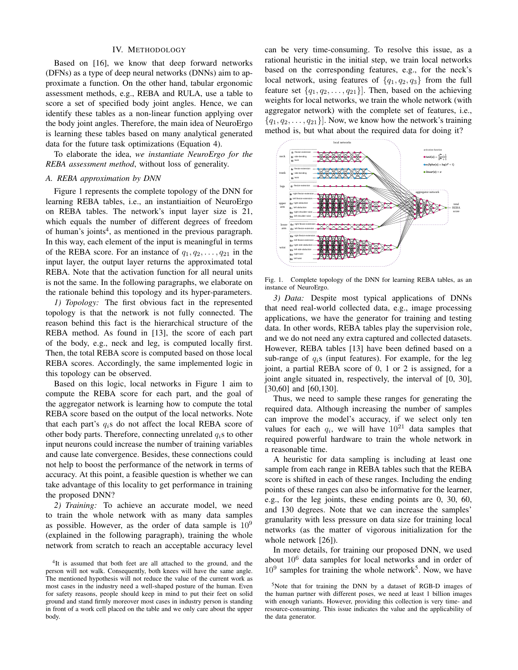#### IV. METHODOLOGY

Based on [16], we know that deep forward networks (DFNs) as a type of deep neural networks (DNNs) aim to approximate a function. On the other hand, tabular ergonomic assessment methods, e.g., REBA and RULA, use a table to score a set of specified body joint angles. Hence, we can identify these tables as a non-linear function applying over the body joint angles. Therefore, the main idea of NeuroErgo is learning these tables based on many analytical generated data for the future task optimizations (Equation 4).

To elaborate the idea, *we instantiate NeuroErgo for the REBA assessment method*, without loss of generality.

#### *A. REBA approximation by DNN*

Figure 1 represents the complete topology of the DNN for learning REBA tables, i.e., an instantiaition of NeuroErgo on REBA tables. The network's input layer size is 21, which equals the number of different degrees of freedom of human's joints<sup>4</sup>, as mentioned in the previous paragraph. In this way, each element of the input is meaningful in terms of the REBA score. For an instance of  $q_1, q_2, \ldots, q_{21}$  in the input layer, the output layer returns the approximated total REBA. Note that the activation function for all neural units is not the same. In the following paragraphs, we elaborate on the rationale behind this topology and its hyper-parameters.

*1) Topology:* The first obvious fact in the represented topology is that the network is not fully connected. The reason behind this fact is the hierarchical structure of the REBA method. As found in [13], the score of each part of the body, e.g., neck and leg, is computed locally first. Then, the total REBA score is computed based on those local REBA scores. Accordingly, the same implemented logic in this topology can be observed.

Based on this logic, local networks in Figure 1 aim to compute the REBA score for each part, and the goal of the aggregator network is learning how to compute the total REBA score based on the output of the local networks. Note that each part's  $q_i$ s do not affect the local REBA score of other body parts. Therefore, connecting unrelated  $q_i$ s to other input neurons could increase the number of training variables and cause late convergence. Besides, these connections could not help to boost the performance of the network in terms of accuracy. At this point, a feasible question is whether we can take advantage of this locality to get performance in training the proposed DNN?

*2) Training:* To achieve an accurate model, we need to train the whole network with as many data samples as possible. However, as the order of data sample is  $10^9$ (explained in the following paragraph), training the whole network from scratch to reach an acceptable accuracy level

can be very time-consuming. To resolve this issue, as a rational heuristic in the initial step, we train local networks based on the corresponding features, e.g., for the neck's local network, using features of  $\{q_1, q_2, q_3\}$  from the full feature set  $\{q_1, q_2, \ldots, q_{21}\}\.$  Then, based on the achieving weights for local networks, we train the whole network (with aggregator network) with the complete set of features, i.e.,  ${q_1, q_2, \ldots, q_{21}}$ . Now, we know how the network's training method is, but what about the required data for doing it?



Fig. 1. Complete topology of the DNN for learning REBA tables, as an instance of NeuroErgo.

*3) Data:* Despite most typical applications of DNNs that need real-world collected data, e.g., image processing applications, we have the generator for training and testing data. In other words, REBA tables play the supervision role, and we do not need any extra captured and collected datasets. However, REBA tables [13] have been defined based on a sub-range of  $q_i$ s (input features). For example, for the leg joint, a partial REBA score of 0, 1 or 2 is assigned, for a joint angle situated in, respectively, the interval of [0, 30], [30,60] and [60,130].

Thus, we need to sample these ranges for generating the required data. Although increasing the number of samples can improve the model's accuracy, if we select only ten values for each  $q_i$ , we will have  $10^{21}$  data samples that required powerful hardware to train the whole network in a reasonable time.

A heuristic for data sampling is including at least one sample from each range in REBA tables such that the REBA score is shifted in each of these ranges. Including the ending points of these ranges can also be informative for the learner, e.g., for the leg joints, these ending points are 0, 30, 60, and 130 degrees. Note that we can increase the samples' granularity with less pressure on data size for training local networks (as the matter of vigorous initialization for the whole network [26]).

In more details, for training our proposed DNN, we used about  $10^6$  data samples for local networks and in order of  $10^9$  samples for training the whole network<sup>5</sup>. Now, we have

<sup>&</sup>lt;sup>4</sup>It is assumed that both feet are all attached to the ground, and the person will not walk. Consequently, both knees will have the same angle. The mentioned hypothesis will not reduce the value of the current work as most cases in the industry need a well-shaped posture of the human. Even for safety reasons, people should keep in mind to put their feet on solid ground and stand firmly moreover most cases in industry person is standing in front of a work cell placed on the table and we only care about the upper body.

<sup>5</sup>Note that for training the DNN by a dataset of RGB-D images of the human partner with different poses, we need at least 1 billion images with enough variants. However, providing this collection is very time- and resource-consuming. This issue indicates the value and the applicability of the data generator.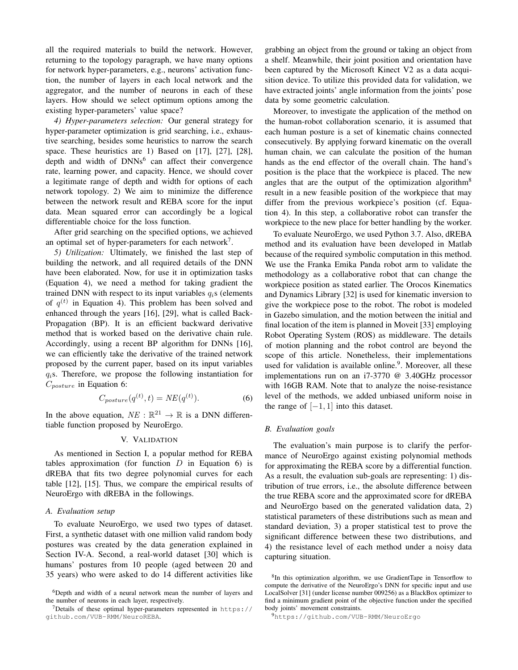all the required materials to build the network. However, returning to the topology paragraph, we have many options for network hyper-parameters, e.g., neurons' activation function, the number of layers in each local network and the aggregator, and the number of neurons in each of these layers. How should we select optimum options among the existing hyper-parameters' value space?

*4) Hyper-parameters selection:* Our general strategy for hyper-parameter optimization is grid searching, i.e., exhaustive searching, besides some heuristics to narrow the search space. These heuristics are 1) Based on [17], [27], [28], depth and width of DNNs<sup>6</sup> can affect their convergence rate, learning power, and capacity. Hence, we should cover a legitimate range of depth and width for options of each network topology. 2) We aim to minimize the difference between the network result and REBA score for the input data. Mean squared error can accordingly be a logical differentiable choice for the loss function.

After grid searching on the specified options, we achieved an optimal set of hyper-parameters for each network<sup>7</sup>.

*5) Utilization:* Ultimately, we finished the last step of building the network, and all required details of the DNN have been elaborated. Now, for use it in optimization tasks (Equation 4), we need a method for taking gradient the trained DNN with respect to its input variables  $q_i$ s (elements of  $q^{(t)}$  in Equation 4). This problem has been solved and enhanced through the years [16], [29], what is called Back-Propagation (BP). It is an efficient backward derivative method that is worked based on the derivative chain rule. Accordingly, using a recent BP algorithm for DNNs [16], we can efficiently take the derivative of the trained network proposed by the current paper, based on its input variables  $q_i$ s. Therefore, we propose the following instantiation for  $C_{posture}$  in Equation 6:

$$
C_{posture}(q^{(t)}, t) = NE(q^{(t)}).
$$
 (6)

In the above equation,  $NE : \mathbb{R}^{21} \to \mathbb{R}$  is a DNN differentiable function proposed by NeuroErgo.

#### V. VALIDATION

As mentioned in Section I, a popular method for REBA tables approximation (for function  $D$  in Equation 6) is dREBA that fits two degree polynomial curves for each table [12], [15]. Thus, we compare the empirical results of NeuroErgo with dREBA in the followings.

## *A. Evaluation setup*

To evaluate NeuroErgo, we used two types of dataset. First, a synthetic dataset with one million valid random body postures was created by the data generation explained in Section IV-A. Second, a real-world dataset [30] which is humans' postures from 10 people (aged between 20 and 35 years) who were asked to do 14 different activities like grabbing an object from the ground or taking an object from a shelf. Meanwhile, their joint position and orientation have been captured by the Microsoft Kinect V2 as a data acquisition device. To utilize this provided data for validation, we have extracted joints' angle information from the joints' pose data by some geometric calculation.

Moreover, to investigate the application of the method on the human-robot collaboration scenario, it is assumed that each human posture is a set of kinematic chains connected consecutively. By applying forward kinematic on the overall human chain, we can calculate the position of the human hands as the end effector of the overall chain. The hand's position is the place that the workpiece is placed. The new angles that are the output of the optimization algorithm<sup>8</sup> result in a new feasible position of the workpiece that may differ from the previous workpiece's position (cf. Equation 4). In this step, a collaborative robot can transfer the workpiece to the new place for better handling by the worker.

To evaluate NeuroErgo, we used Python 3.7. Also, dREBA method and its evaluation have been developed in Matlab because of the required symbolic computation in this method. We use the Franka Emika Panda robot arm to validate the methodology as a collaborative robot that can change the workpiece position as stated earlier. The Orocos Kinematics and Dynamics Library [32] is used for kinematic inversion to give the workpiece pose to the robot. The robot is modeled in Gazebo simulation, and the motion between the initial and final location of the item is planned in Moveit [33] employing Robot Operating System (ROS) as middleware. The details of motion planning and the robot control are beyond the scope of this article. Nonetheless, their implementations used for validation is available online.<sup>9</sup>. Moreover, all these implementations run on an i7-3770 @ 3.40GHz processor with 16GB RAM. Note that to analyze the noise-resistance level of the methods, we added unbiased uniform noise in the range of  $[-1, 1]$  into this dataset.

### *B. Evaluation goals*

The evaluation's main purpose is to clarify the performance of NeuroErgo against existing polynomial methods for approximating the REBA score by a differential function. As a result, the evaluation sub-goals are representing: 1) distribution of true errors, i.e., the absolute difference between the true REBA score and the approximated score for dREBA and NeuroErgo based on the generated validation data, 2) statistical parameters of these distributions such as mean and standard deviation, 3) a proper statistical test to prove the significant difference between these two distributions, and 4) the resistance level of each method under a noisy data capturing situation.

<sup>&</sup>lt;sup>6</sup>Depth and width of a neural network mean the number of layers and the number of neurons in each layer, respectively.

<sup>7</sup>Details of these optimal hyper-parameters represented in https:// github.com/VUB-RMM/NeuroREBA.

<sup>&</sup>lt;sup>8</sup>In this optimization algorithm, we use GradientTape in Tensorflow to compute the derivative of the NeuroErgo's DNN for specific input and use LocalSolver [31] (under license number 009256) as a BlackBox optimizer to find a minimum gradient point of the objective function under the specified body joints' movement constraints.

<sup>9</sup>https://github.com/VUB-RMM/NeuroErgo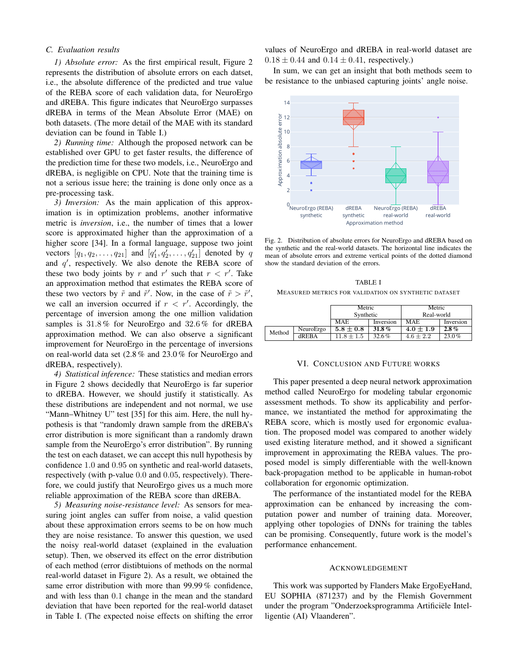# *C. Evaluation results*

*1) Absolute error:* As the first empirical result, Figure 2 represents the distribution of absolute errors on each datset, i.e., the absolute difference of the predicted and true value of the REBA score of each validation data, for NeuroErgo and dREBA. This figure indicates that NeuroErgo surpasses dREBA in terms of the Mean Absolute Error (MAE) on both datasets. (The more detail of the MAE with its standard deviation can be found in Table I.)

*2) Running time:* Although the proposed network can be established over GPU to get faster results, the difference of the prediction time for these two models, i.e., NeuroErgo and dREBA, is negligible on CPU. Note that the training time is not a serious issue here; the training is done only once as a pre-processing task.

*3) Inversion:* As the main application of this approximation is in optimization problems, another informative metric is *inversion*, i.e., the number of times that a lower score is approximated higher than the approximation of a higher score [34]. In a formal language, suppose two joint vectors  $[q_1, q_2, ..., q_{21}]$  and  $[q'_1, q'_2, ..., q'_{21}]$  denoted by q and  $q'$ , respectively. We also denote the REBA score of these two body joints by r and r' such that  $r < r'$ . Take an approximation method that estimates the REBA score of these two vectors by  $\tilde{r}$  and  $\tilde{r}'$ . Now, in the case of  $\tilde{r} > \tilde{r}'$ , we call an inversion occurred if  $r < r'$ . Accordingly, the percentage of inversion among the one million validation samples is 31.8 % for NeuroErgo and 32.6 % for dREBA approximation method. We can also observe a significant improvement for NeuroErgo in the percentage of inversions on real-world data set (2.8 % and 23.0 % for NeuroErgo and dREBA, respectively).

*4) Statistical inference:* These statistics and median errors in Figure 2 shows decidedly that NeuroErgo is far superior to dREBA. However, we should justify it statistically. As these distributions are independent and not normal, we use "Mann–Whitney U" test [35] for this aim. Here, the null hypothesis is that "randomly drawn sample from the dREBA's error distribution is more significant than a randomly drawn sample from the NeuroErgo's error distribution". By running the test on each dataset, we can accept this null hypothesis by confidence 1.0 and 0.95 on synthetic and real-world datasets, respectively (with p-value 0.0 and 0.05, respectively). Therefore, we could justify that NeuroErgo gives us a much more reliable approximation of the REBA score than dREBA.

*5) Measuring noise-resistance level:* As sensors for measuring joint angles can suffer from noise, a valid question about these approximation errors seems to be on how much they are noise resistance. To answer this question, we used the noisy real-world dataset (explained in the evaluation setup). Then, we observed its effect on the error distribution of each method (error distibtuions of methods on the normal real-world dataset in Figure 2). As a result, we obtained the same error distribution with more than 99.99 % confidence, and with less than 0.1 change in the mean and the standard deviation that have been reported for the real-world dataset in Table I. (The expected noise effects on shifting the error

values of NeuroErgo and dREBA in real-world dataset are  $0.18 \pm 0.44$  and  $0.14 \pm 0.41$ , respectively.)

In sum, we can get an insight that both methods seem to be resistance to the unbiased capturing joints' angle noise.



Fig. 2. Distribution of absolute errors for NeuroErgo and dREBA based on the synthetic and the real-world datasets. The horizontal line indicates the mean of absolute errors and extreme vertical points of the dotted diamond show the standard deviation of the errors.

TABLE I MEASURED METRICS FOR VALIDATION ON SYNTHETIC DATASET

|        |              | Metric<br>Synthetic |           | Metric<br>Real-world |           |
|--------|--------------|---------------------|-----------|----------------------|-----------|
|        |              |                     |           |                      |           |
|        |              | <b>MAE</b>          | Inversion | MAE                  | Inversion |
| Method | NeuroErgo    | $5.8 \pm 0.8$       | 31.8%     | $4.0 \pm 1.9$        | $2.8\%$   |
|        | <b>dREBA</b> | $11.8 + 1.5$        | 32.6%     | $4.6 \pm 2.2$        | $23.0\%$  |

#### VI. CONCLUSION AND FUTURE WORKS

This paper presented a deep neural network approximation method called NeuroErgo for modeling tabular ergonomic assessment methods. To show its applicability and performance, we instantiated the method for approximating the REBA score, which is mostly used for ergonomic evaluation. The proposed model was compared to another widely used existing literature method, and it showed a significant improvement in approximating the REBA values. The proposed model is simply differentiable with the well-known back-propagation method to be applicable in human-robot collaboration for ergonomic optimization.

The performance of the instantiated model for the REBA approximation can be enhanced by increasing the computation power and number of training data. Moreover, applying other topologies of DNNs for training the tables can be promising. Consequently, future work is the model's performance enhancement.

#### ACKNOWLEDGEMENT

This work was supported by Flanders Make ErgoEyeHand, EU SOPHIA (871237) and by the Flemish Government under the program "Onderzoeksprogramma Artificiële Intelligentie (AI) Vlaanderen".